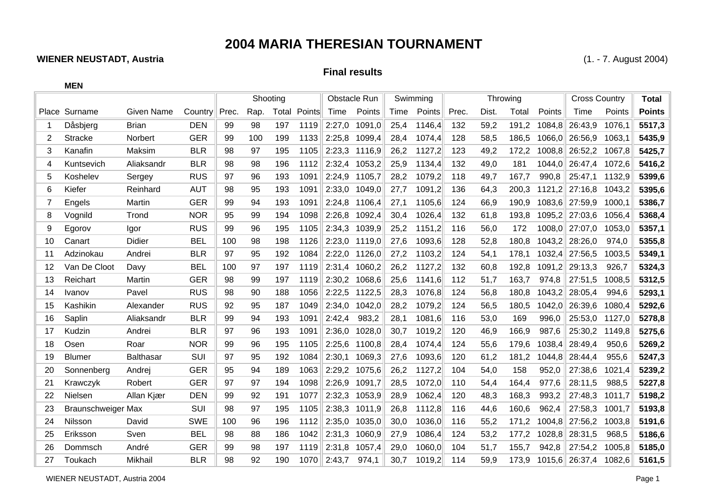## **2004 MARIA THERESIAN TOURNAMENT**

## **WIENER NEUSTADT, Austria** (1. - 7. August 2004)

**MEN**

## **Final results**

|    |                           |                   |            | Shooting |      |       |        | Obstacle Run |        | Swimming |        |       | Throwing | <b>Cross Country</b> |        | <b>Total</b> |        |               |
|----|---------------------------|-------------------|------------|----------|------|-------|--------|--------------|--------|----------|--------|-------|----------|----------------------|--------|--------------|--------|---------------|
|    | Place Surname             | <b>Given Name</b> | Country    | Prec.    | Rap. | Total | Points | Time         | Points | Time     | Points | Prec. | Dist.    | Total                | Points | Time         | Points | <b>Points</b> |
|    | Dåsbjerg                  | <b>Brian</b>      | <b>DEN</b> | 99       | 98   | 197   | 1119   | 2:27,0       | 1091,0 | 25,4     | 1146,4 | 132   | 59,2     | 191,2                | 1084,8 | 26:43.9      | 1076,1 | 5517,3        |
|    | <b>Stracke</b>            | Norbert           | <b>GER</b> | 99       | 100  | 199   | 1133   | 2:25,8       | 1099,4 | 28,4     | 1074,4 | 128   | 58,5     | 186,5                | 1066,0 | 26:56,9      | 1063,1 | 5435,9        |
| 3  | Kanafin                   | Maksim            | <b>BLR</b> | 98       | 97   | 195   | 1105   | 2:23,3       | 1116,9 | 26,2     | 1127,2 | 123   | 49,2     | 172,2                | 1008,8 | 26:52,2      | 1067,8 | 5425,7        |
| 4  | Kuntsevich                | Aliaksandr        | <b>BLR</b> | 98       | 98   | 196   | 1112   | 2:32,4       | 1053,2 | 25,9     | 1134,4 | 132   | 49,0     | 181                  | 1044,0 | 26:47,4      | 1072,6 | 5416,2        |
| 5  | Koshelev                  | Sergey            | <b>RUS</b> | 97       | 96   | 193   | 1091   | 2:24,9       | 1105,7 | 28,2     | 1079,2 | 118   | 49,7     | 167,7                | 990,8  | 25:47,1      | 1132,9 | 5399,6        |
| 6  | Kiefer                    | Reinhard          | <b>AUT</b> | 98       | 95   | 193   | 1091   | 2:33,0       | 1049,0 | 27,7     | 1091,2 | 136   | 64,3     | 200,3                | 1121,2 | 27:16,8      | 1043,2 | 5395,6        |
|    | Engels                    | Martin            | <b>GER</b> | 99       | 94   | 193   | 1091   | 2:24,8       | 1106,4 | 27,1     | 1105,6 | 124   | 66,9     | 190,9                | 1083,6 | 27:59,9      | 1000,1 | 5386,7        |
| 8  | Vognild                   | Trond             | <b>NOR</b> | 95       | 99   | 194   | 1098   | 2:26,8       | 1092,4 | 30,4     | 1026,4 | 132   | 61,8     | 193,8                | 1095,2 | 27:03,6      | 1056,4 | 5368,4        |
| 9  | Egorov                    | Igor              | <b>RUS</b> | 99       | 96   | 195   | 1105   | 2:34,3       | 1039,9 | 25,2     | 1151,2 | 116   | 56,0     | 172                  | 1008,0 | 27:07,0      | 1053,0 | 5357,1        |
| 10 | Canart                    | Didier            | <b>BEL</b> | 100      | 98   | 198   | 1126   | 2:23,0       | 1119,0 | 27,6     | 1093,6 | 128   | 52,8     | 180,8                | 1043,2 | 28:26,0      | 974,0  | 5355,8        |
| 11 | Adzinokau                 | Andrei            | <b>BLR</b> | 97       | 95   | 192   | 1084   | 2:22,0       | 1126,0 | 27,2     | 1103,2 | 124   | 54,1     | 178.1                | 1032,4 | 27:56,5      | 1003,5 | 5349,1        |
| 12 | Van De Cloot              | Davy              | <b>BEL</b> | 100      | 97   | 197   | 1119   | 2:31,4       | 1060,2 | 26,2     | 1127,2 | 132   | 60,8     | 192,8                | 1091,2 | 29:13,3      | 926,7  | 5324,3        |
| 13 | Reichart                  | Martin            | <b>GER</b> | 98       | 99   | 197   | 1119   | 2:30,2       | 1068,6 | 25,6     | 1141,6 | 112   | 51,7     | 163,7                | 974,8  | 27:51,5      | 1008,5 | 5312,5        |
| 14 | Ivanov                    | Pavel             | <b>RUS</b> | 98       | 90   | 188   | 1056   | 2:22,5       | 1122,5 | 28,3     | 1076,8 | 124   | 56,8     | 180,8                | 1043,2 | 28:05,4      | 994,6  | 5293,1        |
| 15 | Kashikin                  | Alexander         | <b>RUS</b> | 92       | 95   | 187   | 1049   | 2:34,0       | 1042,0 | 28,2     | 1079,2 | 124   | 56,5     | 180,5                | 1042,0 | 26:39,6      | 1080,4 | 5292,6        |
| 16 | Saplin                    | Aliaksandr        | <b>BLR</b> | 99       | 94   | 193   | 1091   | 2:42,4       | 983,2  | 28,1     | 1081,6 | 116   | 53,0     | 169                  | 996,0  | 25:53,0      | 1127,0 | 5278,8        |
| 17 | Kudzin                    | Andrei            | <b>BLR</b> | 97       | 96   | 193   | 1091   | 2:36,0       | 1028,0 | 30,7     | 1019,2 | 120   | 46,9     | 166,9                | 987,6  | 25:30,2      | 1149,8 | 5275,6        |
| 18 | Osen                      | Roar              | <b>NOR</b> | 99       | 96   | 195   | 1105   | 2:25,6       | 1100,8 | 28,4     | 1074,4 | 124   | 55,6     | 179,6                | 1038,4 | 28:49,4      | 950,6  | 5269,2        |
| 19 | <b>Blumer</b>             | <b>Balthasar</b>  | SUI        | 97       | 95   | 192   | 1084   | 2:30,1       | 1069,3 | 27,6     | 1093,6 | 120   | 61,2     | 181,2                | 1044,8 | 28:44,4      | 955,6  | 5247,3        |
| 20 | Sonnenberg                | Andrej            | <b>GER</b> | 95       | 94   | 189   | 1063   | 2:29,2       | 1075,6 | 26,2     | 1127,2 | 104   | 54,0     | 158                  | 952,0  | 27:38,6      | 1021,4 | 5239,2        |
| 21 | Krawczyk                  | Robert            | <b>GER</b> | 97       | 97   | 194   | 1098   | 2:26,9       | 1091,7 | 28,5     | 1072,0 | 110   | 54,4     | 164,4                | 977,6  | 28:11,5      | 988,5  | 5227,8        |
| 22 | Nielsen                   | Allan Kjær        | <b>DEN</b> | 99       | 92   | 191   | 1077   | 2:32,3       | 1053,9 | 28,9     | 1062,4 | 120   | 48,3     | 168,3                | 993,2  | 27:48,3      | 1011.7 | 5198,2        |
| 23 | <b>Braunschweiger Max</b> |                   | SUI        | 98       | 97   | 195   | 1105   | 2:38,3       | 1011,9 | 26,8     | 1112,8 | 116   | 44,6     | 160,6                | 962,4  | 27:58,3      | 1001,7 | 5193,8        |
| 24 | Nilsson                   | David             | <b>SWE</b> | 100      | 96   | 196   | 1112   | 2:35,0       | 1035,0 | 30,0     | 1036,0 | 116   | 55,2     | 171,2                | 1004,8 | 27:56,2      | 1003,8 | 5191,6        |
| 25 | Eriksson                  | Sven              | <b>BEL</b> | 98       | 88   | 186   | 1042   | 2:31,3       | 1060,9 | 27,9     | 1086,4 | 124   | 53,2     | 177,2                | 1028,8 | 28:31,5      | 968,5  | 5186,6        |
| 26 | Dommsch                   | André             | <b>GER</b> | 99       | 98   | 197   | 1119   | 2:31,8       | 1057,4 | 29,0     | 1060,0 | 104   | 51,7     | 155,7                | 942,8  | 27:54,2      | 1005,8 | 5185,0        |
| 27 | Toukach                   | Mikhail           | <b>BLR</b> | 98       | 92   | 190   | 1070   | 2:43,7       | 974,1  | 30,7     | 1019,2 | 114   | 59,9     | 173,9                | 1015,6 | 26:37,4      | 1082,6 | 5161,5        |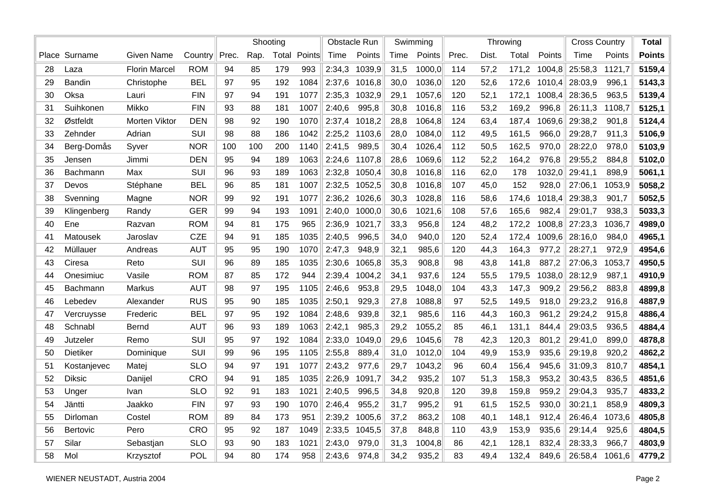|    |                 |                      |            | Shooting |      |     |                     | <b>Obstacle Run</b> |        | Swimming |        | Throwing |       |       |        | <b>Cross Country</b> |        | <b>Total</b>  |
|----|-----------------|----------------------|------------|----------|------|-----|---------------------|---------------------|--------|----------|--------|----------|-------|-------|--------|----------------------|--------|---------------|
|    | Place Surname   | <b>Given Name</b>    | Country    | Prec.    | Rap. |     | <b>Total Points</b> | Time                | Points | Time     | Points | Prec.    | Dist. | Total | Points | Time                 | Points | <b>Points</b> |
| 28 | Laza            | <b>Florin Marcel</b> | <b>ROM</b> | 94       | 85   | 179 | 993                 | 2:34,3              | 1039,9 | 31,5     | 1000,0 | 114      | 57,2  | 171,2 | 1004,8 | 25:58,3              | 1121,7 | 5159,4        |
| 29 | Bandin          | Christophe           | <b>BEL</b> | 97       | 95   | 192 | 1084                | 2:37,6              | 1016,8 | 30,0     | 1036,0 | 120      | 52,6  | 172,6 | 1010,4 | 28:03,9              | 996,1  | 5143,3        |
| 30 | Oksa            | Lauri                | <b>FIN</b> | 97       | 94   | 191 | 1077                | 2:35,3              | 1032,9 | 29,1     | 1057,6 | 120      | 52,1  | 172,1 | 1008,4 | 28:36,5              | 963,5  | 5139,4        |
| 31 | Suihkonen       | Mikko                | <b>FIN</b> | 93       | 88   | 181 | 1007                | 2:40,6              | 995,8  | 30,8     | 1016,8 | 116      | 53,2  | 169,2 | 996,8  | 26:11,3              | 1108,7 | 5125,1        |
| 32 | Østfeldt        | Morten Viktor        | <b>DEN</b> | 98       | 92   | 190 | 1070                | 2:37,4              | 1018,2 | 28,8     | 1064,8 | 124      | 63,4  | 187,4 | 1069,6 | 29:38,2              | 901,8  | 5124,4        |
| 33 | Zehnder         | Adrian               | SUI        | 98       | 88   | 186 | 1042                | 2:25,2              | 1103,6 | 28,0     | 1084,0 | 112      | 49,5  | 161,5 | 966,0  | 29:28,7              | 911,3  | 5106,9        |
| 34 | Berg-Domås      | Syver                | <b>NOR</b> | 100      | 100  | 200 | 1140                | 2:41,5              | 989,5  | 30,4     | 1026,4 | 112      | 50,5  | 162,5 | 970,0  | 28:22,0              | 978,0  | 5103,9        |
| 35 | Jensen          | Jimmi                | <b>DEN</b> | 95       | 94   | 189 | 1063                | 2:24,6              | 1107,8 | 28,6     | 1069,6 | 112      | 52,2  | 164,2 | 976,8  | 29:55,2              | 884,8  | 5102,0        |
| 36 | <b>Bachmann</b> | Max                  | SUI        | 96       | 93   | 189 | 1063                | 2:32,8              | 1050,4 | 30,8     | 1016,8 | 116      | 62,0  | 178   | 1032,0 | 29:41,1              | 898,9  | 5061,1        |
| 37 | Devos           | Stéphane             | <b>BEL</b> | 96       | 85   | 181 | 1007                | 2:32,5              | 1052,5 | 30,8     | 1016,8 | 107      | 45,0  | 152   | 928,0  | 27:06,1              | 1053,9 | 5058,2        |
| 38 | Svenning        | Magne                | <b>NOR</b> | 99       | 92   | 191 | 1077                | 2:36,2              | 1026,6 | 30,3     | 1028,8 | 116      | 58,6  | 174,6 | 1018,4 | 29:38,3              | 901,7  | 5052,5        |
| 39 | Klingenberg     | Randy                | <b>GER</b> | 99       | 94   | 193 | 1091                | 2:40,0              | 1000,0 | 30,6     | 1021,6 | 108      | 57,6  | 165,6 | 982,4  | 29:01,7              | 938,3  | 5033,3        |
| 40 | Ene             | Razvan               | <b>ROM</b> | 94       | 81   | 175 | 965                 | 2:36,9              | 1021,7 | 33,3     | 956,8  | 124      | 48,2  | 172,2 | 1008,8 | 27:23,3              | 1036,7 | 4989,0        |
| 41 | Matousek        | Jaroslav             | <b>CZE</b> | 94       | 91   | 185 | 1035                | 2:40,5              | 996,5  | 34,0     | 940,0  | 120      | 52,4  | 172,4 | 1009,6 | 28:16,0              | 984,0  | 4965,1        |
| 42 | Müllauer        | Andreas              | <b>AUT</b> | 95       | 95   | 190 | 1070                | 2:47,3              | 948,9  | 32,1     | 985,6  | 120      | 44,3  | 164,3 | 977,2  | 28:27,1              | 972,9  | 4954,6        |
| 43 | Ciresa          | Reto                 | SUI        | 96       | 89   | 185 | 1035                | 2:30,6              | 1065,8 | 35,3     | 908,8  | 98       | 43,8  | 141,8 | 887,2  | 27:06,3              | 1053,7 | 4950,5        |
| 44 | Onesimiuc       | Vasile               | <b>ROM</b> | 87       | 85   | 172 | 944                 | 2:39,4              | 1004,2 | 34,1     | 937,6  | 124      | 55,5  | 179,5 | 1038,0 | 28:12,9              | 987,1  | 4910,9        |
| 45 | Bachmann        | Markus               | <b>AUT</b> | 98       | 97   | 195 | 1105                | 2:46,6              | 953,8  | 29,5     | 1048,0 | 104      | 43,3  | 147,3 | 909,2  | 29:56,2              | 883,8  | 4899,8        |
| 46 | Lebedev         | Alexander            | <b>RUS</b> | 95       | 90   | 185 | 1035                | 2:50,1              | 929,3  | 27,8     | 1088,8 | 97       | 52,5  | 149,5 | 918,0  | 29:23,2              | 916,8  | 4887,9        |
| 47 | Vercruysse      | Frederic             | <b>BEL</b> | 97       | 95   | 192 | 1084                | 2:48,6              | 939,8  | 32,1     | 985,6  | 116      | 44,3  | 160,3 | 961,2  | 29:24,2              | 915,8  | 4886,4        |
| 48 | Schnabl         | Bernd                | <b>AUT</b> | 96       | 93   | 189 | 1063                | 2:42,1              | 985,3  | 29,2     | 1055,2 | 85       | 46,1  | 131,1 | 844,4  | 29:03,5              | 936,5  | 4884,4        |
| 49 | Jutzeler        | Remo                 | SUI        | 95       | 97   | 192 | 1084                | 2:33,0              | 1049,0 | 29,6     | 1045,6 | 78       | 42,3  | 120,3 | 801,2  | 29:41,0              | 899,0  | 4878,8        |
| 50 | <b>Dietiker</b> | Dominique            | SUI        | 99       | 96   | 195 | 1105                | 2:55,8              | 889,4  | 31,0     | 1012,0 | 104      | 49,9  | 153,9 | 935,6  | 29:19,8              | 920,2  | 4862,2        |
| 51 | Kostanjevec     | Matej                | <b>SLO</b> | 94       | 97   | 191 | 1077                | 2:43,2              | 977,6  | 29,7     | 1043,2 | 96       | 60,4  | 156,4 | 945,6  | 31:09,3              | 810,7  | 4854,1        |
| 52 | <b>Diksic</b>   | Danijel              | <b>CRO</b> | 94       | 91   | 185 | 1035                | 2:26,9              | 1091,7 | 34,2     | 935,2  | 107      | 51,3  | 158,3 | 953,2  | 30:43,5              | 836,5  | 4851,6        |
| 53 | Unger           | Ivan                 | <b>SLO</b> | 92       | 91   | 183 | 1021                | 2:40,5              | 996,5  | 34,8     | 920,8  | 120      | 39,8  | 159,8 | 959,2  | 29:04,3              | 935,7  | 4833,2        |
| 54 | Jäntti          | Jaakko               | <b>FIN</b> | 97       | 93   | 190 | 1070                | 2:46,4              | 955,2  | 31,7     | 995,2  | 91       | 61,5  | 152,5 | 930,0  | 30:21,1              | 858,9  | 4809,3        |
| 55 | Dirloman        | Costel               | <b>ROM</b> | 89       | 84   | 173 | 951                 | 2:39,2              | 1005,6 | 37,2     | 863,2  | 108      | 40,1  | 148,1 | 912,4  | 26:46,4              | 1073,6 | 4805,8        |
| 56 | <b>Bertovic</b> | Pero                 | <b>CRO</b> | 95       | 92   | 187 | 1049                | 2:33,5              | 1045,5 | 37,8     | 848,8  | 110      | 43,9  | 153,9 | 935,6  | 29:14,4              | 925,6  | 4804,5        |
| 57 | Silar           | Sebastjan            | <b>SLO</b> | 93       | 90   | 183 | 1021                | 2:43,0              | 979,0  | 31,3     | 1004,8 | 86       | 42,1  | 128,1 | 832,4  | 28:33,3              | 966,7  | 4803,9        |
| 58 | Mol             | Krzysztof            | POL        | 94       | 80   | 174 | 958                 | 2:43,6              | 974,8  | 34,2     | 935,2  | 83       | 49,4  | 132,4 | 849,6  | 26:58,4              | 1061,6 | 4779,2        |